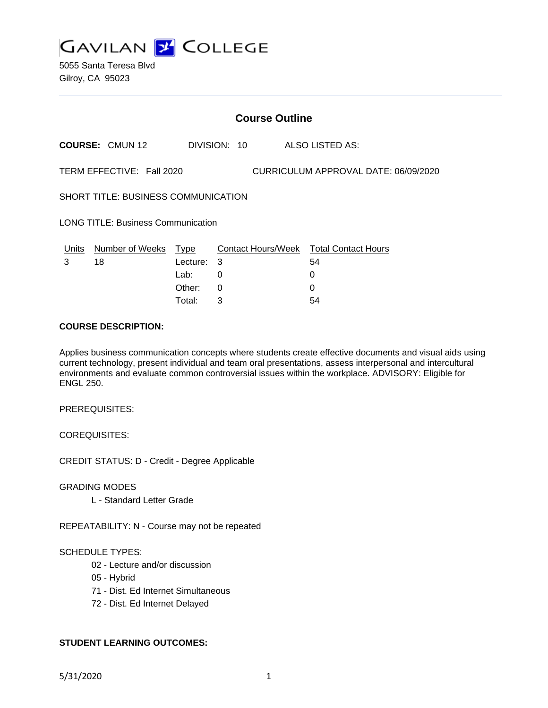

5055 Santa Teresa Blvd Gilroy, CA 95023

| <b>Course Outline</b>                                             |                        |          |          |  |  |                                        |
|-------------------------------------------------------------------|------------------------|----------|----------|--|--|----------------------------------------|
|                                                                   | <b>COURSE: CMUN 12</b> |          |          |  |  | DIVISION: 10 ALSO LISTED AS:           |
| TERM EFFECTIVE: Fall 2020<br>CURRICULUM APPROVAL DATE: 06/09/2020 |                        |          |          |  |  |                                        |
| SHORT TITLE: BUSINESS COMMUNICATION                               |                        |          |          |  |  |                                        |
| <b>LONG TITLE: Business Communication</b>                         |                        |          |          |  |  |                                        |
| Units                                                             | Number of Weeks Type   |          |          |  |  | Contact Hours/Week Total Contact Hours |
| 3                                                                 | 18                     | Lecture: | 3        |  |  | 54                                     |
|                                                                   |                        | Lab:     | 0        |  |  | 0                                      |
|                                                                   |                        | Other:   | $\Omega$ |  |  | 0                                      |
|                                                                   |                        | Total:   | 3        |  |  | 54                                     |

### **COURSE DESCRIPTION:**

Applies business communication concepts where students create effective documents and visual aids using current technology, present individual and team oral presentations, assess interpersonal and intercultural environments and evaluate common controversial issues within the workplace. ADVISORY: Eligible for ENGL 250.

PREREQUISITES:

COREQUISITES:

CREDIT STATUS: D - Credit - Degree Applicable

GRADING MODES

L - Standard Letter Grade

REPEATABILITY: N - Course may not be repeated

#### SCHEDULE TYPES:

- 02 Lecture and/or discussion
- 05 Hybrid
- 71 Dist. Ed Internet Simultaneous
- 72 Dist. Ed Internet Delayed

## **STUDENT LEARNING OUTCOMES:**

5/31/2020 1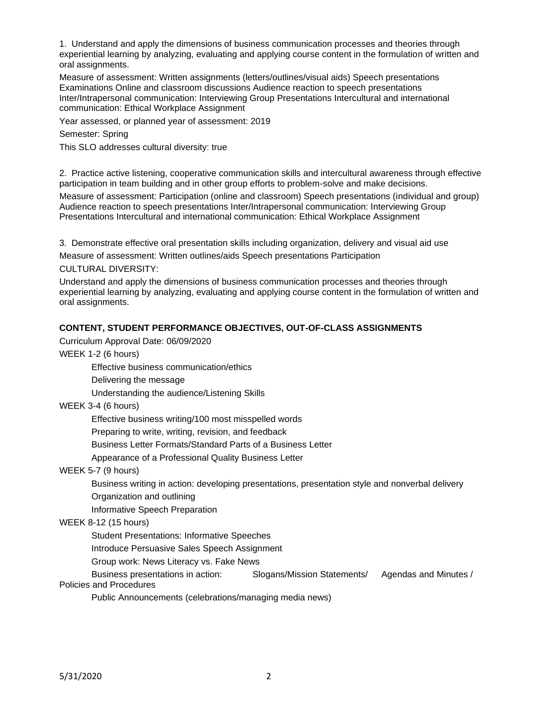1. Understand and apply the dimensions of business communication processes and theories through experiential learning by analyzing, evaluating and applying course content in the formulation of written and oral assignments.

Measure of assessment: Written assignments (letters/outlines/visual aids) Speech presentations Examinations Online and classroom discussions Audience reaction to speech presentations Inter/Intrapersonal communication: Interviewing Group Presentations Intercultural and international communication: Ethical Workplace Assignment

Year assessed, or planned year of assessment: 2019

Semester: Spring

This SLO addresses cultural diversity: true

2. Practice active listening, cooperative communication skills and intercultural awareness through effective participation in team building and in other group efforts to problem-solve and make decisions.

Measure of assessment: Participation (online and classroom) Speech presentations (individual and group) Audience reaction to speech presentations Inter/Intrapersonal communication: Interviewing Group Presentations Intercultural and international communication: Ethical Workplace Assignment

3. Demonstrate effective oral presentation skills including organization, delivery and visual aid use

Measure of assessment: Written outlines/aids Speech presentations Participation

CULTURAL DIVERSITY:

Understand and apply the dimensions of business communication processes and theories through experiential learning by analyzing, evaluating and applying course content in the formulation of written and oral assignments.

## **CONTENT, STUDENT PERFORMANCE OBJECTIVES, OUT-OF-CLASS ASSIGNMENTS**

Curriculum Approval Date: 06/09/2020

WEEK 1-2 (6 hours)

Effective business communication/ethics

Delivering the message

Understanding the audience/Listening Skills

WEEK 3-4 (6 hours)

Effective business writing/100 most misspelled words

Preparing to write, writing, revision, and feedback

Business Letter Formats/Standard Parts of a Business Letter

Appearance of a Professional Quality Business Letter

WEEK 5-7 (9 hours)

Business writing in action: developing presentations, presentation style and nonverbal delivery Organization and outlining

Informative Speech Preparation

#### WEEK 8-12 (15 hours)

Student Presentations: Informative Speeches

Introduce Persuasive Sales Speech Assignment

Group work: News Literacy vs. Fake News

Business presentations in action: Slogans/Mission Statements/ Agendas and Minutes / Policies and Procedures

Public Announcements (celebrations/managing media news)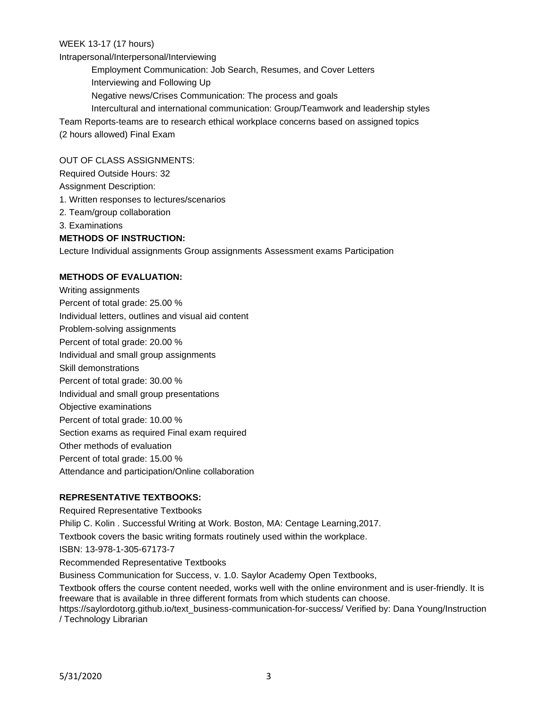WEEK 13-17 (17 hours)

Intrapersonal/Interpersonal/Interviewing

Employment Communication: Job Search, Resumes, and Cover Letters

Interviewing and Following Up

Negative news/Crises Communication: The process and goals

Intercultural and international communication: Group/Teamwork and leadership styles

Team Reports-teams are to research ethical workplace concerns based on assigned topics

(2 hours allowed) Final Exam

## OUT OF CLASS ASSIGNMENTS:

Required Outside Hours: 32

Assignment Description:

- 1. Written responses to lectures/scenarios
- 2. Team/group collaboration
- 3. Examinations

# **METHODS OF INSTRUCTION:**

Lecture Individual assignments Group assignments Assessment exams Participation

# **METHODS OF EVALUATION:**

Writing assignments Percent of total grade: 25.00 % Individual letters, outlines and visual aid content Problem-solving assignments Percent of total grade: 20.00 % Individual and small group assignments Skill demonstrations Percent of total grade: 30.00 % Individual and small group presentations Objective examinations Percent of total grade: 10.00 % Section exams as required Final exam required Other methods of evaluation Percent of total grade: 15.00 % Attendance and participation/Online collaboration

## **REPRESENTATIVE TEXTBOOKS:**

Required Representative Textbooks Philip C. Kolin . Successful Writing at Work. Boston, MA: Centage Learning,2017. Textbook covers the basic writing formats routinely used within the workplace. ISBN: 13-978-1-305-67173-7 Recommended Representative Textbooks Business Communication for Success, v. 1.0. Saylor Academy Open Textbooks, Textbook offers the course content needed, works well with the online environment and is user-friendly. It is

freeware that is available in three different formats from which students can choose. https://saylordotorg.github.io/text\_business-communication-for-success/ Verified by: Dana Young/Instruction

/ Technology Librarian